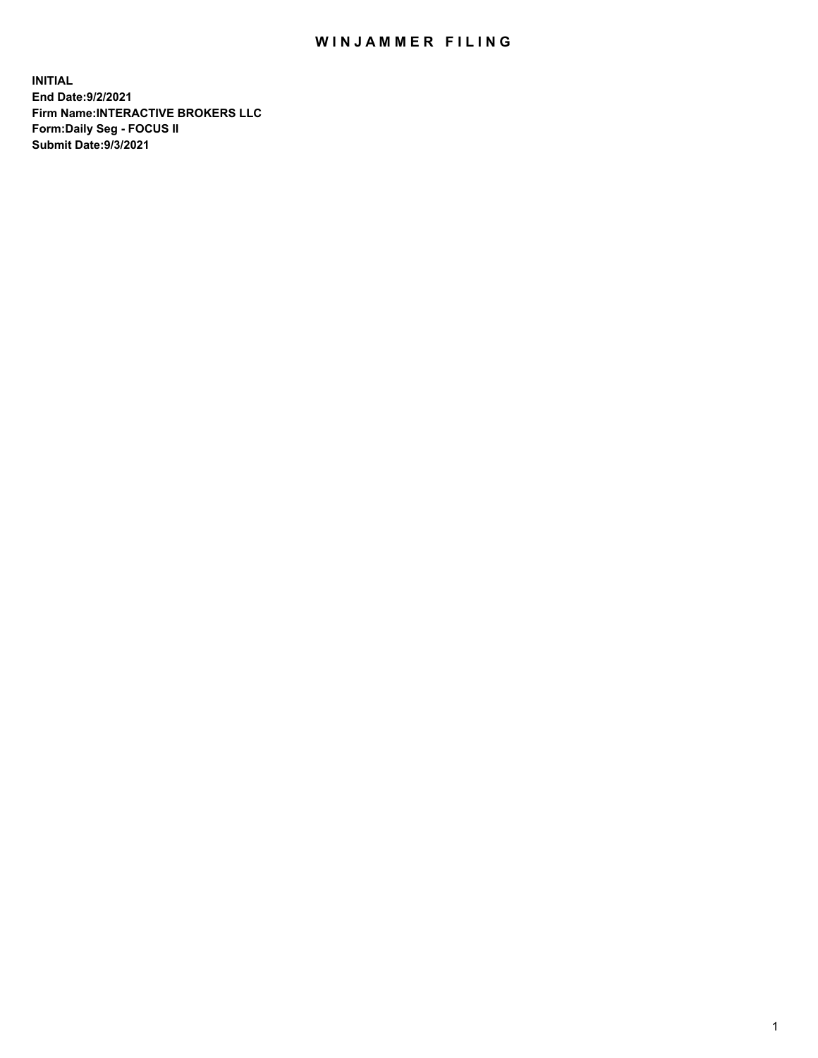## WIN JAMMER FILING

**INITIAL End Date:9/2/2021 Firm Name:INTERACTIVE BROKERS LLC Form:Daily Seg - FOCUS II Submit Date:9/3/2021**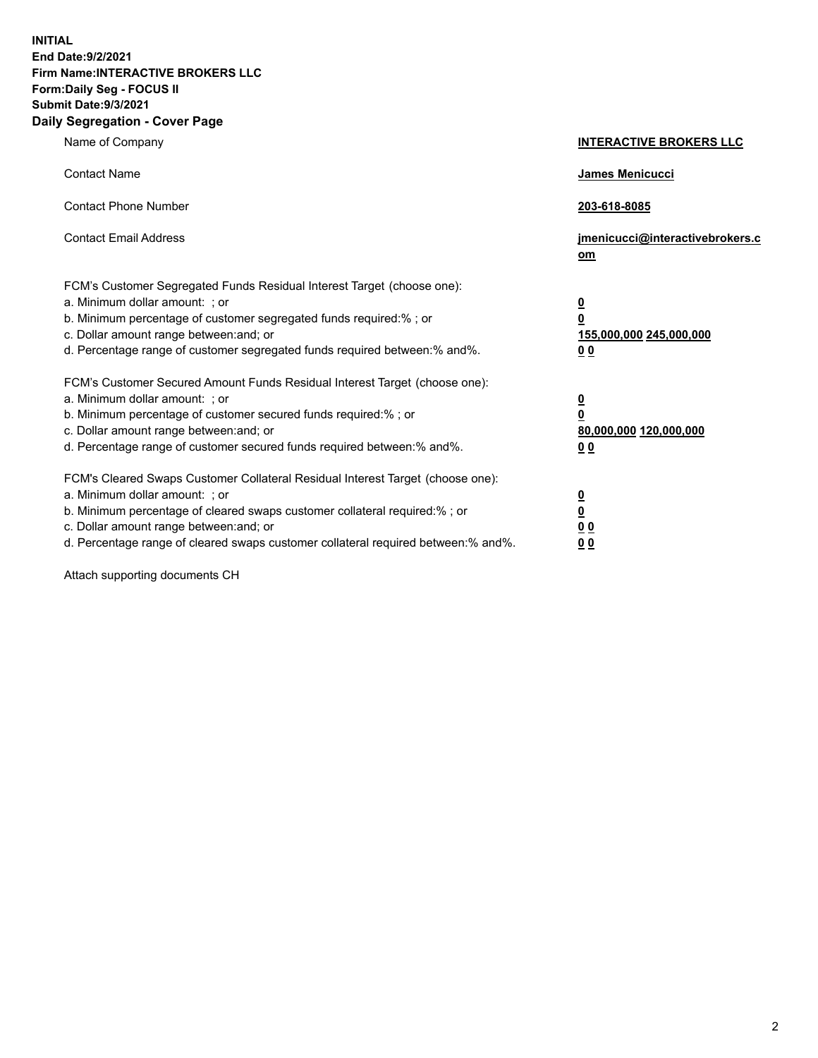**INITIAL End Date:9/2/2021 Firm Name:INTERACTIVE BROKERS LLC Form:Daily Seg - FOCUS II Submit Date:9/3/2021 Daily Segregation - Cover Page**

| Name of Company                                                                                                                                                                                                                                                                                                                | <b>INTERACTIVE BROKERS LLC</b>                                                                  |
|--------------------------------------------------------------------------------------------------------------------------------------------------------------------------------------------------------------------------------------------------------------------------------------------------------------------------------|-------------------------------------------------------------------------------------------------|
| <b>Contact Name</b>                                                                                                                                                                                                                                                                                                            | <b>James Menicucci</b>                                                                          |
| <b>Contact Phone Number</b>                                                                                                                                                                                                                                                                                                    | 203-618-8085                                                                                    |
| <b>Contact Email Address</b>                                                                                                                                                                                                                                                                                                   | jmenicucci@interactivebrokers.c<br>om                                                           |
| FCM's Customer Segregated Funds Residual Interest Target (choose one):<br>a. Minimum dollar amount: ; or<br>b. Minimum percentage of customer segregated funds required:% ; or<br>c. Dollar amount range between: and; or<br>d. Percentage range of customer segregated funds required between:% and%.                         | $\overline{\mathbf{0}}$<br>$\overline{\mathbf{0}}$<br>155,000,000 245,000,000<br>0 <sub>0</sub> |
| FCM's Customer Secured Amount Funds Residual Interest Target (choose one):<br>a. Minimum dollar amount: ; or<br>b. Minimum percentage of customer secured funds required:%; or<br>c. Dollar amount range between: and; or<br>d. Percentage range of customer secured funds required between:% and%.                            | $\overline{\mathbf{0}}$<br>$\mathbf 0$<br>80,000,000 120,000,000<br>0 <sub>0</sub>              |
| FCM's Cleared Swaps Customer Collateral Residual Interest Target (choose one):<br>a. Minimum dollar amount: ; or<br>b. Minimum percentage of cleared swaps customer collateral required:% ; or<br>c. Dollar amount range between: and; or<br>d. Percentage range of cleared swaps customer collateral required between:% and%. | $\overline{\mathbf{0}}$<br>$\underline{\mathbf{0}}$<br>0 <sub>0</sub><br>0 <sub>0</sub>         |

Attach supporting documents CH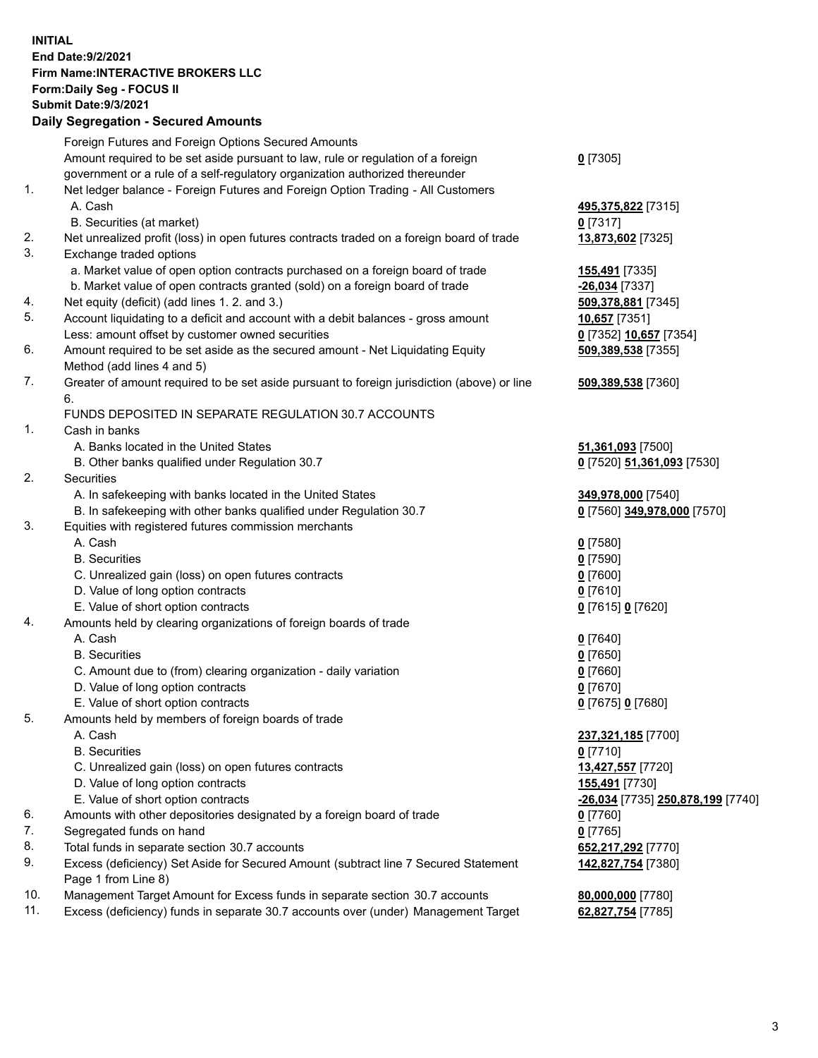## **INITIAL End Date:9/2/2021 Firm Name:INTERACTIVE BROKERS LLC Form:Daily Seg - FOCUS II Submit Date:9/3/2021 Daily Segregation - Secured Amounts**

|                | Dany Ocgregation - Oceanea Anioante                                                                        |                                          |
|----------------|------------------------------------------------------------------------------------------------------------|------------------------------------------|
|                | Foreign Futures and Foreign Options Secured Amounts                                                        |                                          |
|                | Amount required to be set aside pursuant to law, rule or regulation of a foreign                           | $0$ [7305]                               |
|                | government or a rule of a self-regulatory organization authorized thereunder                               |                                          |
| 1.             | Net ledger balance - Foreign Futures and Foreign Option Trading - All Customers                            |                                          |
|                | A. Cash                                                                                                    | 495,375,822 [7315]                       |
|                | B. Securities (at market)                                                                                  | $0$ [7317]                               |
| 2.             | Net unrealized profit (loss) in open futures contracts traded on a foreign board of trade                  | 13,873,602 [7325]                        |
| 3.             | Exchange traded options                                                                                    |                                          |
|                | a. Market value of open option contracts purchased on a foreign board of trade                             | 155,491 [7335]                           |
|                | b. Market value of open contracts granted (sold) on a foreign board of trade                               | -26,034 [7337]                           |
| 4.             | Net equity (deficit) (add lines 1. 2. and 3.)                                                              | 509,378,881 [7345]                       |
| 5.             | Account liquidating to a deficit and account with a debit balances - gross amount                          | 10,657 [7351]                            |
|                | Less: amount offset by customer owned securities                                                           | 0 [7352] 10,657 [7354]                   |
| 6.             | Amount required to be set aside as the secured amount - Net Liquidating Equity                             | 509,389,538 [7355]                       |
|                | Method (add lines 4 and 5)                                                                                 |                                          |
| 7.             | Greater of amount required to be set aside pursuant to foreign jurisdiction (above) or line                | 509,389,538 [7360]                       |
|                | 6.                                                                                                         |                                          |
|                | FUNDS DEPOSITED IN SEPARATE REGULATION 30.7 ACCOUNTS                                                       |                                          |
| $\mathbf{1}$ . | Cash in banks                                                                                              |                                          |
|                | A. Banks located in the United States                                                                      | 51,361,093 [7500]                        |
|                | B. Other banks qualified under Regulation 30.7                                                             | 0 [7520] 51,361,093 [7530]               |
| 2.             | Securities                                                                                                 |                                          |
|                | A. In safekeeping with banks located in the United States                                                  | 349,978,000 [7540]                       |
|                | B. In safekeeping with other banks qualified under Regulation 30.7                                         | 0 [7560] 349,978,000 [7570]              |
| 3.             | Equities with registered futures commission merchants                                                      |                                          |
|                | A. Cash                                                                                                    | $0$ [7580]                               |
|                | <b>B.</b> Securities                                                                                       | $0$ [7590]                               |
|                | C. Unrealized gain (loss) on open futures contracts                                                        | $0$ [7600]                               |
|                | D. Value of long option contracts                                                                          | $0$ [7610]                               |
|                | E. Value of short option contracts                                                                         | 0 [7615] 0 [7620]                        |
| 4.             | Amounts held by clearing organizations of foreign boards of trade                                          |                                          |
|                | A. Cash                                                                                                    | $Q$ [7640]                               |
|                | <b>B.</b> Securities                                                                                       | $0$ [7650]                               |
|                | C. Amount due to (from) clearing organization - daily variation                                            | $0$ [7660]                               |
|                | D. Value of long option contracts                                                                          | $0$ [7670]                               |
|                | E. Value of short option contracts                                                                         | 0 [7675] 0 [7680]                        |
| 5.             | Amounts held by members of foreign boards of trade                                                         |                                          |
|                | A. Cash                                                                                                    | 237,321,185 [7700]                       |
|                | <b>B.</b> Securities                                                                                       | $0$ [7710]                               |
|                | C. Unrealized gain (loss) on open futures contracts                                                        | 13,427,557 [7720]                        |
|                | D. Value of long option contracts                                                                          | 155,491 [7730]                           |
|                | E. Value of short option contracts                                                                         | <u>-26,034</u> [7735] 250,878,199 [7740] |
| 6.             | Amounts with other depositories designated by a foreign board of trade                                     | 0 [7760]                                 |
| 7.             | Segregated funds on hand                                                                                   | $0$ [7765]                               |
| 8.             | Total funds in separate section 30.7 accounts                                                              | 652,217,292 [7770]                       |
| 9.             | Excess (deficiency) Set Aside for Secured Amount (subtract line 7 Secured Statement<br>Page 1 from Line 8) | 142,827,754 [7380]                       |
| 10.            | Management Target Amount for Excess funds in separate section 30.7 accounts                                | 80,000,000 [7780]                        |
| 11.            | Excess (deficiency) funds in separate 30.7 accounts over (under) Management Target                         | 62,827,754 [7785]                        |
|                |                                                                                                            |                                          |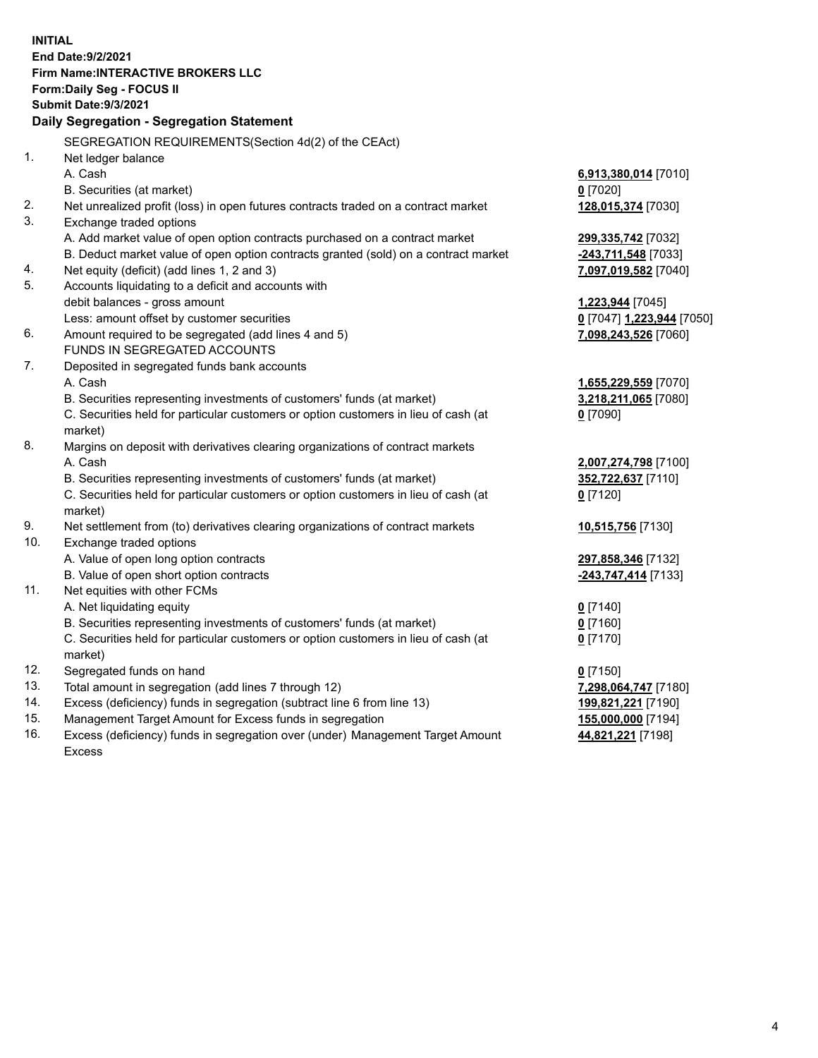**INITIAL End Date:9/2/2021 Firm Name:INTERACTIVE BROKERS LLC Form:Daily Seg - FOCUS II Submit Date:9/3/2021 Daily Segregation - Segregation Statement** SEGREGATION REQUIREMENTS(Section 4d(2) of the CEAct) 1. Net ledger balance A. Cash **6,913,380,014** [7010] B. Securities (at market) **0** [7020] 2. Net unrealized profit (loss) in open futures contracts traded on a contract market **128,015,374** [7030] 3. Exchange traded options A. Add market value of open option contracts purchased on a contract market **299,335,742** [7032] B. Deduct market value of open option contracts granted (sold) on a contract market **-243,711,548** [7033] 4. Net equity (deficit) (add lines 1, 2 and 3) **7,097,019,582** [7040] 5. Accounts liquidating to a deficit and accounts with debit balances - gross amount **1,223,944** [7045] Less: amount offset by customer securities **0** [7047] **1,223,944** [7050] 6. Amount required to be segregated (add lines 4 and 5) **7,098,243,526** [7060] FUNDS IN SEGREGATED ACCOUNTS 7. Deposited in segregated funds bank accounts A. Cash **1,655,229,559** [7070] B. Securities representing investments of customers' funds (at market) **3,218,211,065** [7080] C. Securities held for particular customers or option customers in lieu of cash (at market) **0** [7090] 8. Margins on deposit with derivatives clearing organizations of contract markets A. Cash **2,007,274,798** [7100] B. Securities representing investments of customers' funds (at market) **352,722,637** [7110] C. Securities held for particular customers or option customers in lieu of cash (at market) **0** [7120] 9. Net settlement from (to) derivatives clearing organizations of contract markets **10,515,756** [7130] 10. Exchange traded options A. Value of open long option contracts **297,858,346** [7132] B. Value of open short option contracts **-243,747,414** [7133] 11. Net equities with other FCMs A. Net liquidating equity **0** [7140] B. Securities representing investments of customers' funds (at market) **0** [7160] C. Securities held for particular customers or option customers in lieu of cash (at market) **0** [7170] 12. Segregated funds on hand **0** [7150] 13. Total amount in segregation (add lines 7 through 12) **7,298,064,747** [7180] 14. Excess (deficiency) funds in segregation (subtract line 6 from line 13) **199,821,221** [7190] 15. Management Target Amount for Excess funds in segregation **155,000,000** [7194] 16. Excess (deficiency) funds in segregation over (under) Management Target Amount **44,821,221** [7198]

Excess